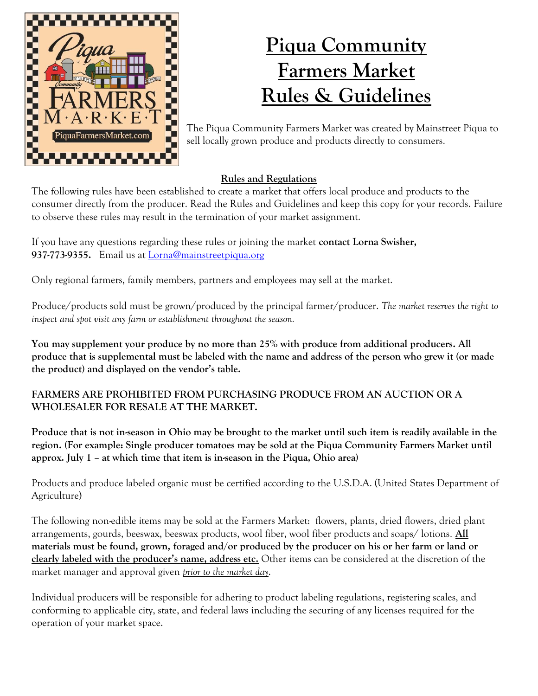

# **Piqua Community Farmers Market Rules & Guidelines**

The Piqua Community Farmers Market was created by Mainstreet Piqua to sell locally grown produce and products directly to consumers.

## **Rules and Regulations**

The following rules have been established to create a market that offers local produce and products to the consumer directly from the producer. Read the Rules and Guidelines and keep this copy for your records. Failure to observe these rules may result in the termination of your market assignment.

If you have any questions regarding these rules or joining the market **contact Lorna Swisher, 937-773-9355.** Email us at [Lorna@mainstreetpiqua.org](mailto:Lorna@mainstreetpiqua.org)

Only regional farmers, family members, partners and employees may sell at the market.

Produce/products sold must be grown/produced by the principal farmer/producer. *The market reserves the right to inspect and spot visit any farm or establishment throughout the season.*

**You may supplement your produce by no more than 25% with produce from additional producers. All produce that is supplemental must be labeled with the name and address of the person who grew it (or made the product) and displayed on the vendor's table.** 

### **FARMERS ARE PROHIBITED FROM PURCHASING PRODUCE FROM AN AUCTION OR A WHOLESALER FOR RESALE AT THE MARKET.**

**Produce that is not in-season in Ohio may be brought to the market until such item is readily available in the region. (For example: Single producer tomatoes may be sold at the Piqua Community Farmers Market until approx. July 1 – at which time that item is in-season in the Piqua, Ohio area)** 

Products and produce labeled organic must be certified according to the U.S.D.A. (United States Department of Agriculture)

The following non-edible items may be sold at the Farmers Market: flowers, plants, dried flowers, dried plant arrangements, gourds, beeswax, beeswax products, wool fiber, wool fiber products and soaps/ lotions. **All materials must be found, grown, foraged and/or produced by the producer on his or her farm or land or clearly labeled with the producer's name, address etc.** Other items can be considered at the discretion of the market manager and approval given *prior to the market day*.

Individual producers will be responsible for adhering to product labeling regulations, registering scales, and conforming to applicable city, state, and federal laws including the securing of any licenses required for the operation of your market space.